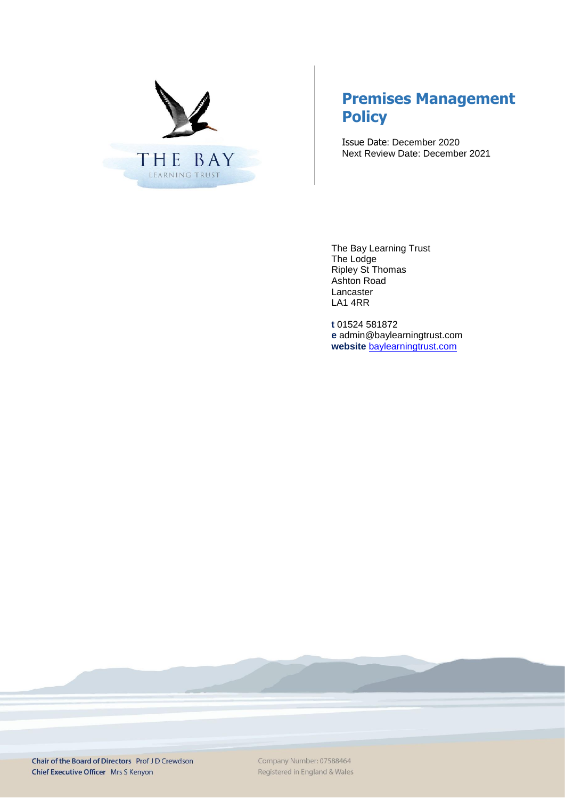

# **Premises Management Policy**

Issue Date: December 2020 Next Review Date: December 2021

The Bay Learning Trust The Lodge Ripley St Thomas Ashton Road Lancaster LA1 4RR

**t** 01524 581872 **e** admin@baylearningtrust.com **website** [baylearningtrust.com](http://www.ripleystthomas.com/)

Chair of the Board of Directors Prof JD Crewdson Chief Executive Officer Mrs S Kenyon

Company Number: 07588464 Registered in England & Wales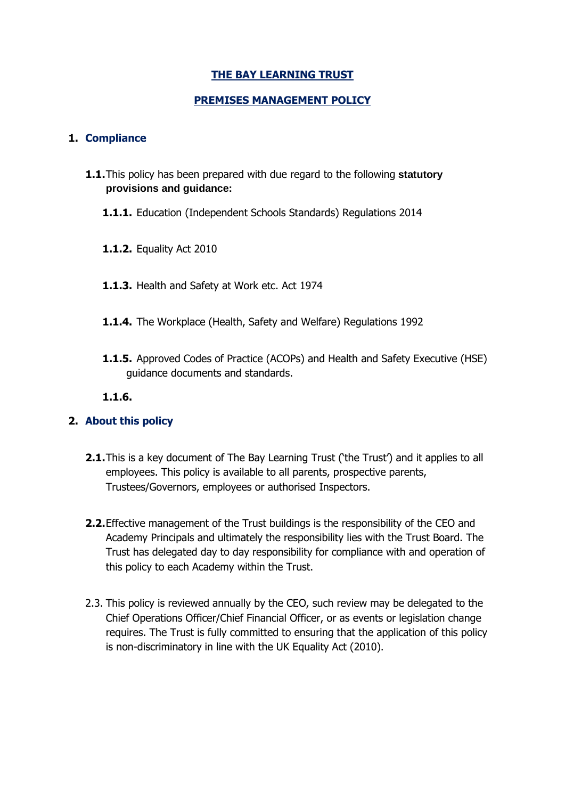# **THE BAY LEARNING TRUST**

# **PREMISES MANAGEMENT POLICY**

### **1. Compliance**

- **1.1.**This policy has been prepared with due regard to the following **statutory provisions and guidance:**
	- **1.1.1.** Education (Independent Schools Standards) Regulations 2014
	- **1.1.2.** Equality Act 2010
	- **1.1.3.** Health and Safety at Work etc. Act 1974
	- **1.1.4.** The Workplace (Health, Safety and Welfare) Regulations 1992
	- **1.1.5.** Approved Codes of Practice (ACOPs) and Health and Safety Executive (HSE) guidance documents and standards.
	- **1.1.6.**

# **2. About this policy**

- **2.1.**This is a key document of The Bay Learning Trust ('the Trust') and it applies to all employees. This policy is available to all parents, prospective parents, Trustees/Governors, employees or authorised Inspectors.
- **2.2.**Effective management of the Trust buildings is the responsibility of the CEO and Academy Principals and ultimately the responsibility lies with the Trust Board. The Trust has delegated day to day responsibility for compliance with and operation of this policy to each Academy within the Trust.
- 2.3. This policy is reviewed annually by the CEO, such review may be delegated to the Chief Operations Officer/Chief Financial Officer, or as events or legislation change requires. The Trust is fully committed to ensuring that the application of this policy is non-discriminatory in line with the UK Equality Act (2010).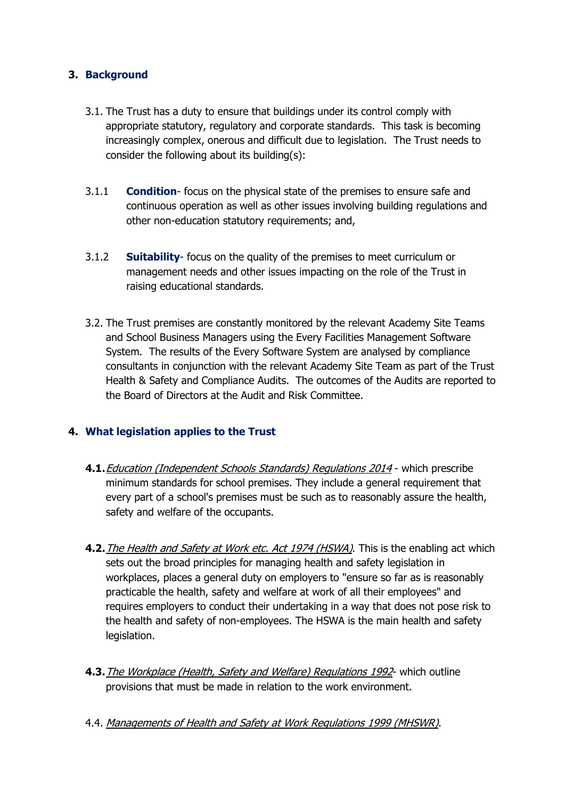# **3. Background**

- 3.1. The Trust has a duty to ensure that buildings under its control comply with appropriate statutory, regulatory and corporate standards. This task is becoming increasingly complex, onerous and difficult due to legislation. The Trust needs to consider the following about its building(s):
- 3.1.1 **Condition** focus on the physical state of the premises to ensure safe and continuous operation as well as other issues involving building regulations and other non-education statutory requirements; and,
- 3.1.2 **Suitability** focus on the quality of the premises to meet curriculum or management needs and other issues impacting on the role of the Trust in raising educational standards.
- 3.2. The Trust premises are constantly monitored by the relevant Academy Site Teams and School Business Managers using the Every Facilities Management Software System. The results of the Every Software System are analysed by compliance consultants in conjunction with the relevant Academy Site Team as part of the Trust Health & Safety and Compliance Audits. The outcomes of the Audits are reported to the Board of Directors at the Audit and Risk Committee.

# **4. What legislation applies to the Trust**

- **4.1.**Education (Independent Schools Standards) Regulations 2014 which prescribe minimum standards for school premises. They include a general requirement that every part of a school's premises must be such as to reasonably assure the health, safety and welfare of the occupants.
- **4.2.**The Health and Safety at Work etc. Act 1974 (HSWA). This is the enabling act which sets out the broad principles for managing health and safety legislation in workplaces, places a general duty on employers to "ensure so far as is reasonably practicable the health, safety and welfare at work of all their employees" and requires employers to conduct their undertaking in a way that does not pose risk to the health and safety of non-employees. The HSWA is the main health and safety legislation.
- **4.3.**The Workplace (Health, Safety and Welfare) Regulations 1992- which outline provisions that must be made in relation to the work environment.
- 4.4. Managements of Health and Safety at Work Regulations 1999 (MHSWR).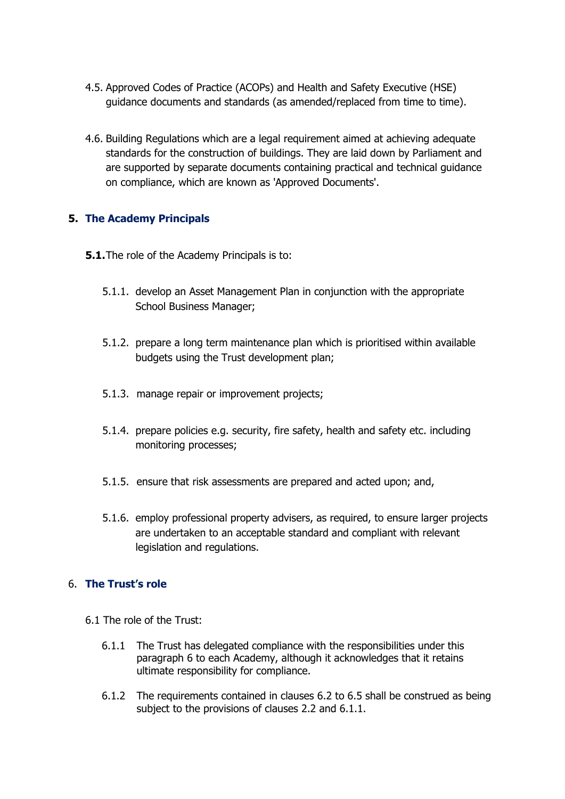- 4.5. Approved Codes of Practice (ACOPs) and Health and Safety Executive (HSE) guidance documents and standards (as amended/replaced from time to time).
- 4.6. Building Regulations which are a legal requirement aimed at achieving adequate standards for the construction of buildings. They are laid down by Parliament and are supported by separate documents containing practical and technical guidance on compliance, which are known as 'Approved Documents'.

# **5. The Academy Principals**

- **5.1.**The role of the Academy Principals is to:
	- 5.1.1. develop an Asset Management Plan in conjunction with the appropriate School Business Manager;
	- 5.1.2. prepare a long term maintenance plan which is prioritised within available budgets using the Trust development plan;
	- 5.1.3. manage repair or improvement projects;
	- 5.1.4. prepare policies e.g. security, fire safety, health and safety etc. including monitoring processes;
	- 5.1.5. ensure that risk assessments are prepared and acted upon; and,
	- 5.1.6. employ professional property advisers, as required, to ensure larger projects are undertaken to an acceptable standard and compliant with relevant legislation and regulations.

# 6. **The Trust's role**

- 6.1 The role of the Trust:
	- 6.1.1 The Trust has delegated compliance with the responsibilities under this paragraph 6 to each Academy, although it acknowledges that it retains ultimate responsibility for compliance.
	- 6.1.2 The requirements contained in clauses 6.2 to 6.5 shall be construed as being subject to the provisions of clauses 2.2 and 6.1.1.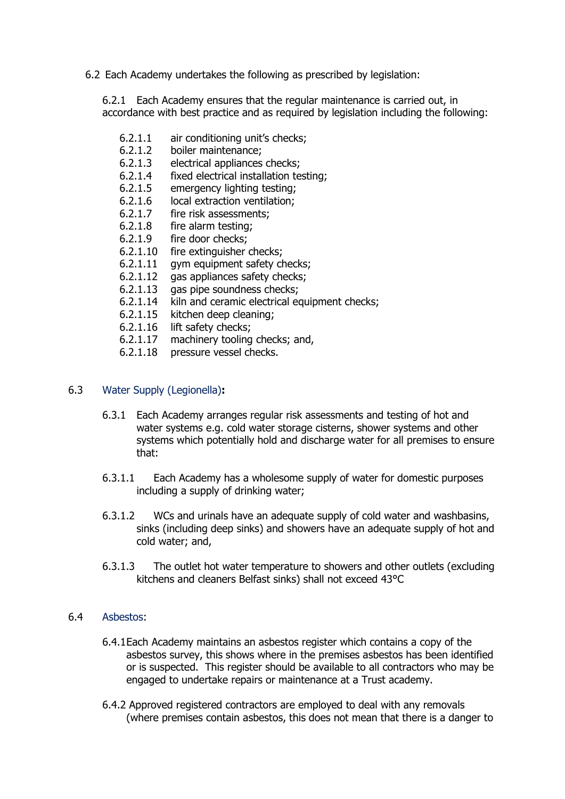6.2 Each Academy undertakes the following as prescribed by legislation:

6.2.1 Each Academy ensures that the regular maintenance is carried out, in accordance with best practice and as required by legislation including the following:

- 6.2.1.1 air conditioning unit's checks;
- 6.2.1.2 boiler maintenance;
- 6.2.1.3 electrical appliances checks;
- 6.2.1.4 fixed electrical installation testing;
- 6.2.1.5 emergency lighting testing;
- 6.2.1.6 local extraction ventilation;
- 6.2.1.7 fire risk assessments;<br>6.2.1.8 fire alarm testing;
- fire alarm testing;
- 6.2.1.9 fire door checks;
- 6.2.1.10 fire extinguisher checks;
- 6.2.1.11 gym equipment safety checks;
- 6.2.1.12 gas appliances safety checks;
- 6.2.1.13 gas pipe soundness checks;
- 6.2.1.14 kiln and ceramic electrical equipment checks;
- 6.2.1.15 kitchen deep cleaning;
- 6.2.1.16 lift safety checks;
- 6.2.1.17 machinery tooling checks; and,
- 6.2.1.18 pressure vessel checks.

#### 6.3 Water Supply (Legionella)**:**

- 6.3.1 Each Academy arranges regular risk assessments and testing of hot and water systems e.g. cold water storage cisterns, shower systems and other systems which potentially hold and discharge water for all premises to ensure that:
- 6.3.1.1 Each Academy has a wholesome supply of water for domestic purposes including a supply of drinking water;
- 6.3.1.2 WCs and urinals have an adequate supply of cold water and washbasins, sinks (including deep sinks) and showers have an adequate supply of hot and cold water; and,
- 6.3.1.3 The outlet hot water temperature to showers and other outlets (excluding kitchens and cleaners Belfast sinks) shall not exceed 43°C

#### 6.4 Asbestos:

- 6.4.1Each Academy maintains an asbestos register which contains a copy of the asbestos survey, this shows where in the premises asbestos has been identified or is suspected. This register should be available to all contractors who may be engaged to undertake repairs or maintenance at a Trust academy.
- 6.4.2 Approved registered contractors are employed to deal with any removals (where premises contain asbestos, this does not mean that there is a danger to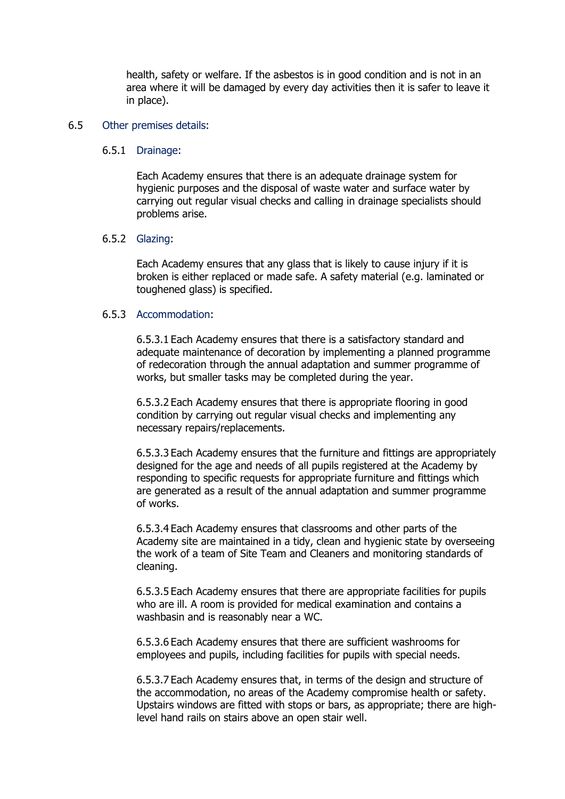health, safety or welfare. If the asbestos is in good condition and is not in an area where it will be damaged by every day activities then it is safer to leave it in place).

#### 6.5 Other premises details:

#### 6.5.1 Drainage:

Each Academy ensures that there is an adequate drainage system for hygienic purposes and the disposal of waste water and surface water by carrying out regular visual checks and calling in drainage specialists should problems arise.

#### 6.5.2 Glazing:

Each Academy ensures that any glass that is likely to cause injury if it is broken is either replaced or made safe. A safety material (e.g. laminated or toughened glass) is specified.

#### 6.5.3 Accommodation:

6.5.3.1 Each Academy ensures that there is a satisfactory standard and adequate maintenance of decoration by implementing a planned programme of redecoration through the annual adaptation and summer programme of works, but smaller tasks may be completed during the year.

6.5.3.2 Each Academy ensures that there is appropriate flooring in good condition by carrying out regular visual checks and implementing any necessary repairs/replacements.

6.5.3.3 Each Academy ensures that the furniture and fittings are appropriately designed for the age and needs of all pupils registered at the Academy by responding to specific requests for appropriate furniture and fittings which are generated as a result of the annual adaptation and summer programme of works.

6.5.3.4 Each Academy ensures that classrooms and other parts of the Academy site are maintained in a tidy, clean and hygienic state by overseeing the work of a team of Site Team and Cleaners and monitoring standards of cleaning.

6.5.3.5 Each Academy ensures that there are appropriate facilities for pupils who are ill. A room is provided for medical examination and contains a washbasin and is reasonably near a WC.

6.5.3.6 Each Academy ensures that there are sufficient washrooms for employees and pupils, including facilities for pupils with special needs.

6.5.3.7 Each Academy ensures that, in terms of the design and structure of the accommodation, no areas of the Academy compromise health or safety. Upstairs windows are fitted with stops or bars, as appropriate; there are highlevel hand rails on stairs above an open stair well.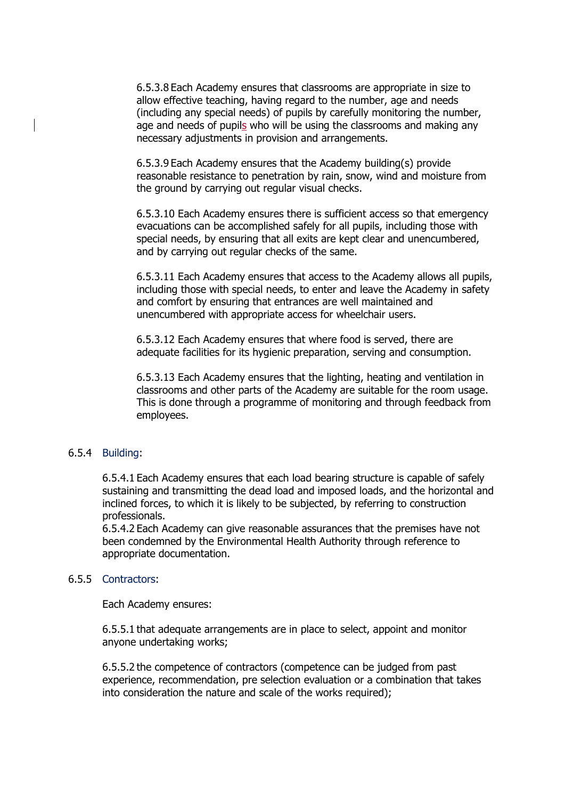6.5.3.8 Each Academy ensures that classrooms are appropriate in size to allow effective teaching, having regard to the number, age and needs (including any special needs) of pupils by carefully monitoring the number, age and needs of pupils who will be using the classrooms and making any necessary adjustments in provision and arrangements.

6.5.3.9 Each Academy ensures that the Academy building(s) provide reasonable resistance to penetration by rain, snow, wind and moisture from the ground by carrying out regular visual checks.

6.5.3.10 Each Academy ensures there is sufficient access so that emergency evacuations can be accomplished safely for all pupils, including those with special needs, by ensuring that all exits are kept clear and unencumbered, and by carrying out regular checks of the same.

6.5.3.11 Each Academy ensures that access to the Academy allows all pupils, including those with special needs, to enter and leave the Academy in safety and comfort by ensuring that entrances are well maintained and unencumbered with appropriate access for wheelchair users.

6.5.3.12 Each Academy ensures that where food is served, there are adequate facilities for its hygienic preparation, serving and consumption.

6.5.3.13 Each Academy ensures that the lighting, heating and ventilation in classrooms and other parts of the Academy are suitable for the room usage. This is done through a programme of monitoring and through feedback from employees.

#### 6.5.4 Building:

6.5.4.1 Each Academy ensures that each load bearing structure is capable of safely sustaining and transmitting the dead load and imposed loads, and the horizontal and inclined forces, to which it is likely to be subjected, by referring to construction professionals.

6.5.4.2 Each Academy can give reasonable assurances that the premises have not been condemned by the Environmental Health Authority through reference to appropriate documentation.

#### 6.5.5 Contractors:

Each Academy ensures:

6.5.5.1 that adequate arrangements are in place to select, appoint and monitor anyone undertaking works;

6.5.5.2 the competence of contractors (competence can be judged from past experience, recommendation, pre selection evaluation or a combination that takes into consideration the nature and scale of the works required);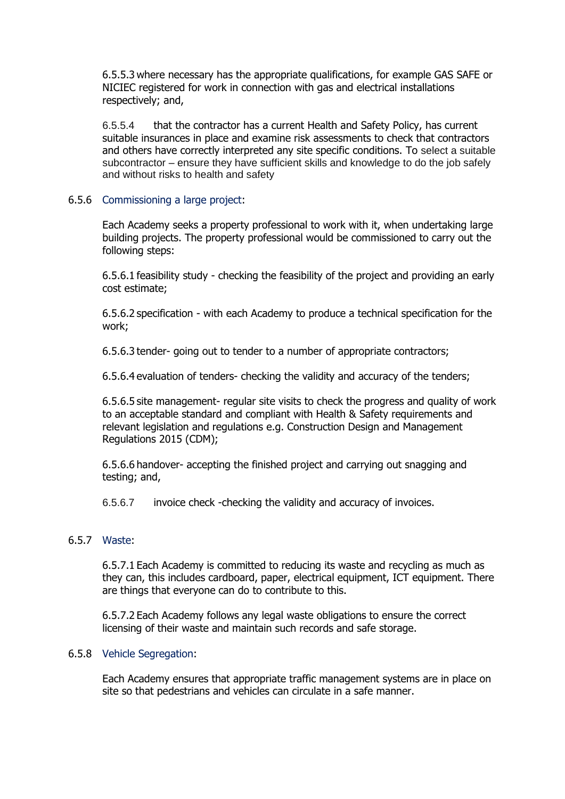6.5.5.3 where necessary has the appropriate qualifications, for example GAS SAFE or NICIEC registered for work in connection with gas and electrical installations respectively; and,

6.5.5.4 that the contractor has a current Health and Safety Policy, has current suitable insurances in place and examine risk assessments to check that contractors and others have correctly interpreted any site specific conditions. To select a suitable subcontractor – ensure they have sufficient skills and knowledge to do the job safely and without risks to health and safety

6.5.6 Commissioning a large project:

Each Academy seeks a property professional to work with it, when undertaking large building projects. The property professional would be commissioned to carry out the following steps:

6.5.6.1 feasibility study - checking the feasibility of the project and providing an early cost estimate;

6.5.6.2 specification - with each Academy to produce a technical specification for the work;

6.5.6.3 tender- going out to tender to a number of appropriate contractors;

6.5.6.4 evaluation of tenders- checking the validity and accuracy of the tenders;

6.5.6.5 site management- regular site visits to check the progress and quality of work to an acceptable standard and compliant with Health & Safety requirements and relevant legislation and regulations e.g. Construction Design and Management Regulations 2015 (CDM);

6.5.6.6 handover- accepting the finished project and carrying out snagging and testing; and,

6.5.6.7 invoice check -checking the validity and accuracy of invoices.

#### 6.5.7 Waste:

6.5.7.1 Each Academy is committed to reducing its waste and recycling as much as they can, this includes cardboard, paper, electrical equipment, ICT equipment. There are things that everyone can do to contribute to this.

6.5.7.2 Each Academy follows any legal waste obligations to ensure the correct licensing of their waste and maintain such records and safe storage.

#### 6.5.8 Vehicle Segregation:

Each Academy ensures that appropriate traffic management systems are in place on site so that pedestrians and vehicles can circulate in a safe manner.